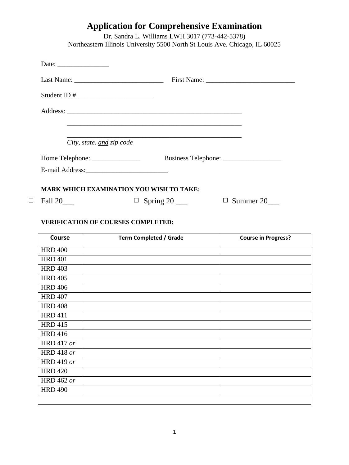## **Application for Comprehensive Examination**

|                                                          | Dr. Sandra L. Williams LWH 3017 (773-442-5378)<br>Northeastern Illinois University 5500 North St Louis Ave. Chicago, IL 60025 |  |  |
|----------------------------------------------------------|-------------------------------------------------------------------------------------------------------------------------------|--|--|
| Date: $\frac{1}{\sqrt{1-\frac{1}{2}} \cdot \frac{1}{2}}$ |                                                                                                                               |  |  |
|                                                          |                                                                                                                               |  |  |
|                                                          |                                                                                                                               |  |  |
|                                                          |                                                                                                                               |  |  |
|                                                          | <u> 1989 - Johann Stoff, amerikansk politiker (d. 1989)</u>                                                                   |  |  |
| City, state. and zip code                                |                                                                                                                               |  |  |
|                                                          |                                                                                                                               |  |  |
|                                                          |                                                                                                                               |  |  |
| <b>MARK WHICH EXAMINATION YOU WISH TO TAKE:</b>          |                                                                                                                               |  |  |
| Fall 20___                                               | Summer $20$<br>Spring $20$ _____<br>ப                                                                                         |  |  |
|                                                          |                                                                                                                               |  |  |

## **VERIFICATION OF COURSES COMPLETED:**

 $\Box$ 

| <b>Course</b>     | <b>Term Completed / Grade</b> | <b>Course in Progress?</b> |
|-------------------|-------------------------------|----------------------------|
| <b>HRD 400</b>    |                               |                            |
| <b>HRD 401</b>    |                               |                            |
| <b>HRD 403</b>    |                               |                            |
| <b>HRD 405</b>    |                               |                            |
| <b>HRD 406</b>    |                               |                            |
| <b>HRD 407</b>    |                               |                            |
| <b>HRD 408</b>    |                               |                            |
| <b>HRD 411</b>    |                               |                            |
| <b>HRD 415</b>    |                               |                            |
| <b>HRD 416</b>    |                               |                            |
| <b>HRD</b> 417 or |                               |                            |
| <b>HRD</b> 418 or |                               |                            |
| HRD 419 or        |                               |                            |
| <b>HRD 420</b>    |                               |                            |
| <b>HRD</b> 462 or |                               |                            |
| <b>HRD 490</b>    |                               |                            |
|                   |                               |                            |